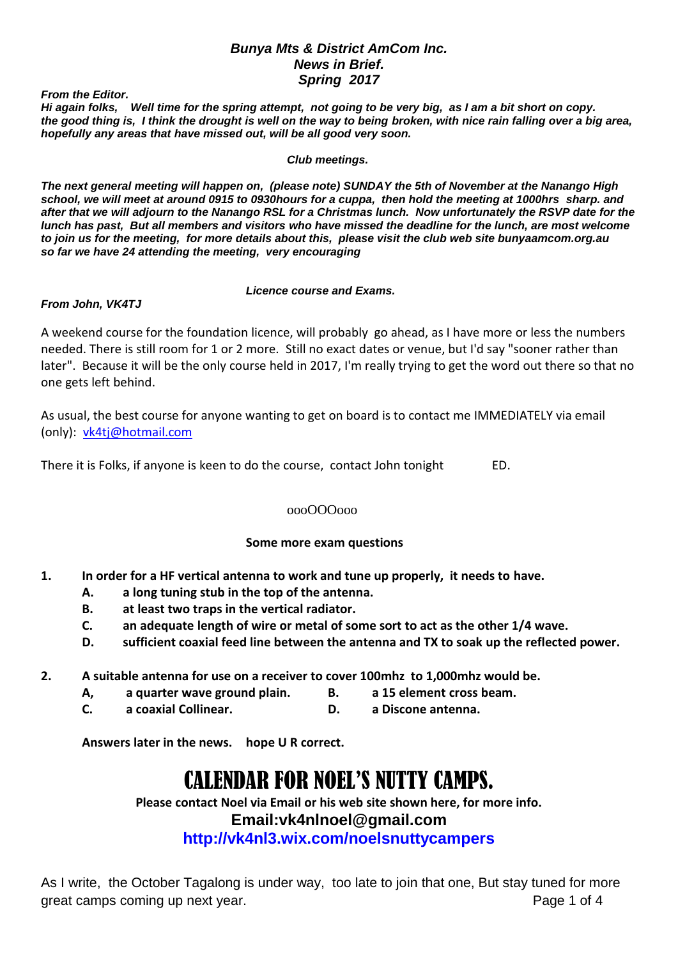## *Bunya Mts & District AmCom Inc. News in Brief. Spring 2017*

*From the Editor.*

*Hi again folks, Well time for the spring attempt, not going to be very big, as I am a bit short on copy. the good thing is, I think the drought is well on the way to being broken, with nice rain falling over a big area, hopefully any areas that have missed out, will be all good very soon.*

*Club meetings.*

*The next general meeting will happen on, (please note) SUNDAY the 5th of November at the Nanango High school, we will meet at around 0915 to 0930hours for a cuppa, then hold the meeting at 1000hrs sharp. and after that we will adjourn to the Nanango RSL for a Christmas lunch. Now unfortunately the RSVP date for the lunch has past, But all members and visitors who have missed the deadline for the lunch, are most welcome to join us for the meeting, for more details about this, please visit the club web site bunyaamcom.org.au so far we have 24 attending the meeting, very encouraging* 

*Licence course and Exams.*

*From John, VK4TJ*

A weekend course for the foundation licence, will probably go ahead, as I have more or less the numbers needed. There is still room for 1 or 2 more. Still no exact dates or venue, but I'd say "sooner rather than later". Because it will be the only course held in 2017, I'm really trying to get the word out there so that no one gets left behind.

As usual, the best course for anyone wanting to get on board is to contact me IMMEDIATELY via email (only): [vk4tj@hotmail.com](mailto:vk4tj@hotmail.com)

There it is Folks, if anyone is keen to do the course, contact John tonight ED.

## oooOOOooo

# **Some more exam questions**

- **1. In order for a HF vertical antenna to work and tune up properly, it needs to have.**
	- **A. a long tuning stub in the top of the antenna.**
	- **B. at least two traps in the vertical radiator.**
	- **C. an adequate length of wire or metal of some sort to act as the other 1/4 wave.**
	- **D. sufficient coaxial feed line between the antenna and TX to soak up the reflected power.**
- **2. A suitable antenna for use on a receiver to cover 100mhz to 1,000mhz would be.**
	- **A, a quarter wave ground plain. B. a 15 element cross beam.**
	- **C. a coaxial Collinear. D. a Discone antenna.**

**Answers later in the news. hope U R correct.**

# CALENDAR FOR NOEL'S NUTTY CAMPS.

**Please contact Noel via Email or his web site shown here, for more info. Email:vk4nlnoel@gmail.com http://vk4nl3.wix.com/noelsnuttycampers**

As I write, the October Tagalong is under way, too late to join that one, But stay tuned for more great camps coming up next year. The same state of 4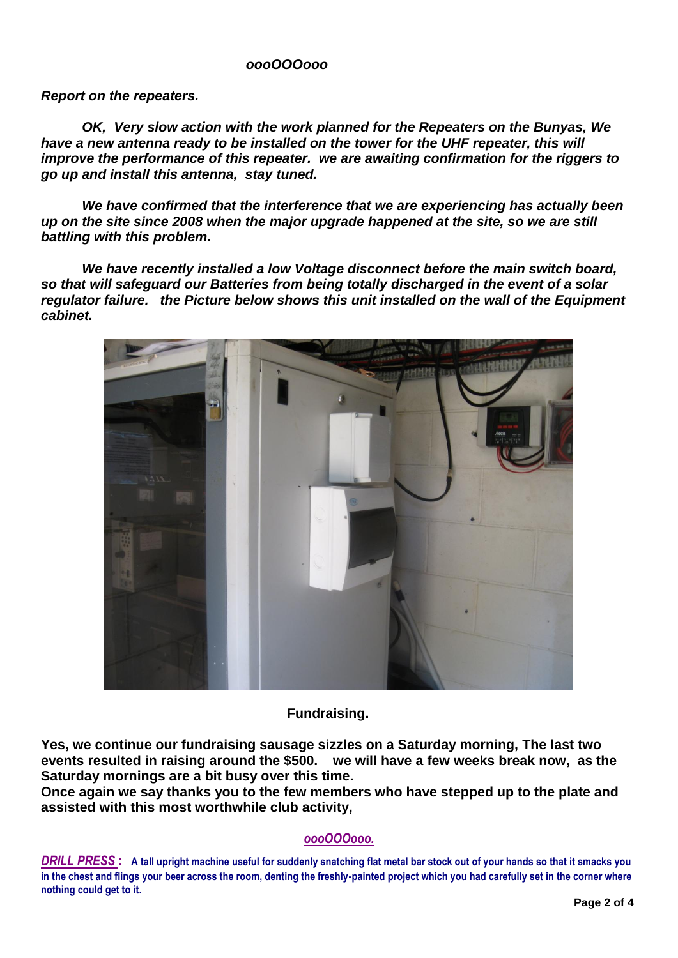## *oooOOOooo*

*Report on the repeaters.*

*OK, Very slow action with the work planned for the Repeaters on the Bunyas, We have a new antenna ready to be installed on the tower for the UHF repeater, this will improve the performance of this repeater. we are awaiting confirmation for the riggers to go up and install this antenna, stay tuned.*

*We have confirmed that the interference that we are experiencing has actually been up on the site since 2008 when the major upgrade happened at the site, so we are still battling with this problem.*

*We have recently installed a low Voltage disconnect before the main switch board, so that will safeguard our Batteries from being totally discharged in the event of a solar regulator failure. the Picture below shows this unit installed on the wall of the Equipment cabinet.*



**Fundraising.**

**Yes, we continue our fundraising sausage sizzles on a Saturday morning, The last two events resulted in raising around the \$500. we will have a few weeks break now, as the Saturday mornings are a bit busy over this time.**

**Once again we say thanks you to the few members who have stepped up to the plate and assisted with this most worthwhile club activity,** 

## *oooOOOooo.*

*DRILL PRESS* **: A tall upright machine useful for suddenly snatching flat metal bar stock out of your hands so that it smacks you in the chest and flings your beer across the room, denting the freshly-painted project which you had carefully set in the corner where nothing could get to it.**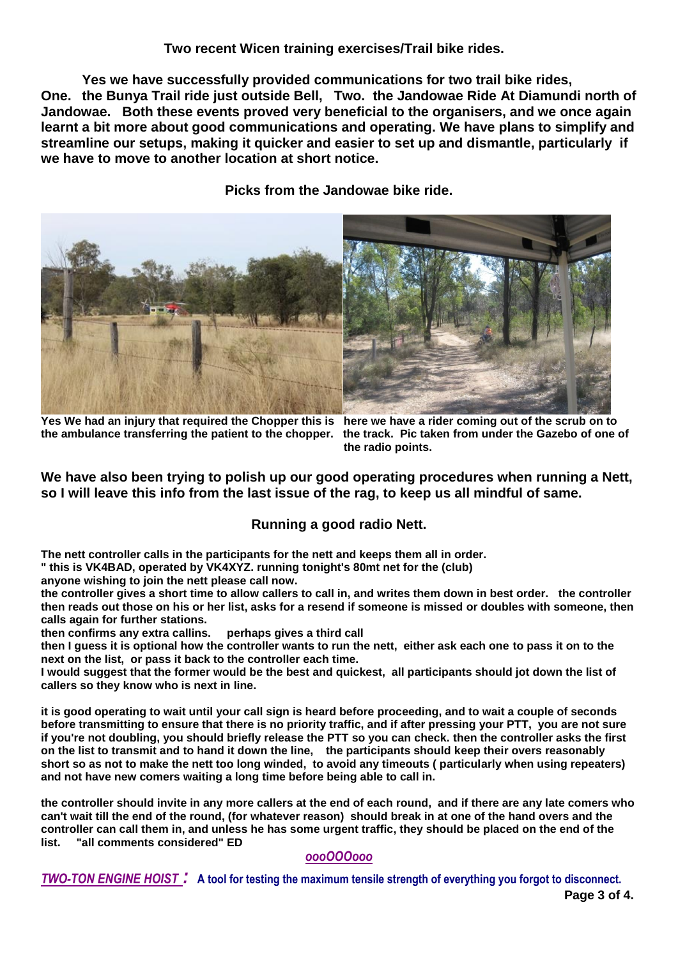## **Two recent Wicen training exercises/Trail bike rides.**

**Yes we have successfully provided communications for two trail bike rides, One. the Bunya Trail ride just outside Bell, Two. the Jandowae Ride At Diamundi north of Jandowae. Both these events proved very beneficial to the organisers, and we once again learnt a bit more about good communications and operating. We have plans to simplify and streamline our setups, making it quicker and easier to set up and dismantle, particularly if we have to move to another location at short notice.**

**Picks from the Jandowae bike ride.**



**Yes We had an injury that required the Chopper this is here we have a rider coming out of the scrub on to the ambulance transferring the patient to the chopper. the track. Pic taken from under the Gazebo of one of** 

 **the radio points.**

**We have also been trying to polish up our good operating procedures when running a Nett, so I will leave this info from the last issue of the rag, to keep us all mindful of same.**

# **Running a good radio Nett.**

**The nett controller calls in the participants for the nett and keeps them all in order.**

**" this is VK4BAD, operated by VK4XYZ. running tonight's 80mt net for the (club)**

**anyone wishing to join the nett please call now.**

**the controller gives a short time to allow callers to call in, and writes them down in best order. the controller then reads out those on his or her list, asks for a resend if someone is missed or doubles with someone, then calls again for further stations.** 

**then confirms any extra callins. perhaps gives a third call** 

**then I guess it is optional how the controller wants to run the nett, either ask each one to pass it on to the next on the list, or pass it back to the controller each time.**

**I would suggest that the former would be the best and quickest, all participants should jot down the list of callers so they know who is next in line.**

**it is good operating to wait until your call sign is heard before proceeding, and to wait a couple of seconds before transmitting to ensure that there is no priority traffic, and if after pressing your PTT, you are not sure if you're not doubling, you should briefly release the PTT so you can check. then the controller asks the first on the list to transmit and to hand it down the line, the participants should keep their overs reasonably short so as not to make the nett too long winded, to avoid any timeouts ( particularly when using repeaters) and not have new comers waiting a long time before being able to call in.**

**the controller should invite in any more callers at the end of each round, and if there are any late comers who can't wait till the end of the round, (for whatever reason) should break in at one of the hand overs and the controller can call them in, and unless he has some urgent traffic, they should be placed on the end of the list. "all comments considered" ED**

# *oooOOOooo*

*TWO-TON ENGINE HOIST :* **A tool for testing the maximum tensile strength of everything you forgot to disconnect.**